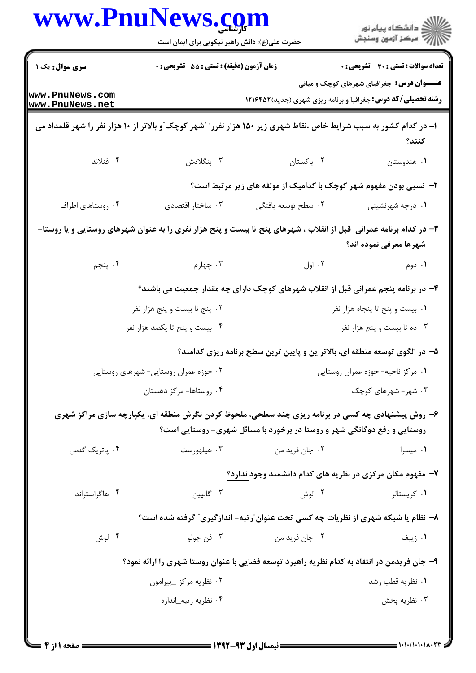| <b>www.PnuNews.co</b>              | حضرت علی(ع): دانش راهبر نیکویی برای ایمان است    |                                                                                                                                                                               | ڪ دانشڪاه پيا <sub>م</sub> نور<br>ر <i>7</i> مرڪز آزمون وسنڊش |
|------------------------------------|--------------------------------------------------|-------------------------------------------------------------------------------------------------------------------------------------------------------------------------------|---------------------------------------------------------------|
| <b>سری سوال :</b> یک ۱             | <b>زمان آزمون (دقیقه) : تستی : 55 تشریحی : 0</b> |                                                                                                                                                                               | تعداد سوالات : تستي : 30 ٪ تشريحي : 0                         |
| www.PnuNews.com<br>www.PnuNews.net |                                                  | <b>رشته تحصیلی/کد درس:</b> جغرافیا و برنامه ریزی شهری (جدید) ۱۲۱۶۴۵۲                                                                                                          | <b>عنـــوان درس:</b> جغرافیای شهرهای کوچک و میانی             |
|                                    |                                                  | ا- در کدام کشور به سبب شرایط خاص ،نقاط شهری زیر ۱۵۰ هزار نفررا آشهر کوچک ّو بالاتر از ۱۰ هزار نفر را شهر قلمداد می                                                            | كنند؟                                                         |
| ۰۴ فنلاند                          | ۰۳ بنگلادش                                       | ٠٢ پاکستان                                                                                                                                                                    | ٠١ هندوستان                                                   |
|                                    |                                                  | ۲- نسبی بودن مفهوم شهر کوچک با کدامیک از مولفه های زیر مرتبط است؟                                                                                                             |                                                               |
| ۰۴ روستاهای اطراف                  | ۰۳ ساختار اقتصادی                                | ۰۲ سطح توسعه یافتگی                                                                                                                                                           | ۰۱ درجه شهرنشینی                                              |
|                                    |                                                  | ۳- در کدام برنامه عمرانی ًقبل از انقلاب ، شهرهای پنج تا بیست و پنج هزار نفری را به عنوان شهرهای روستایی و یا روستا                                                            | شهرها معرفي نموده اند؟                                        |
| ۰۴ پنجم                            | ۰۳ چهارم                                         | ۰۲ اول                                                                                                                                                                        | ۰۱ دوم                                                        |
|                                    |                                                  | ۴– در برنامه پنجم عمرانی قبل از انقلاب شهرهای کوچک دارای چه مقدار جمعیت می باشند؟                                                                                             |                                                               |
|                                    | ۰۲ پنج تا بیست و پنج هزار نفر                    |                                                                                                                                                                               | ۰۱ بیست و پنج تا پنجاه هزار نفر                               |
|                                    | ۰۴ بیست و پنج تا یکصد هزار نفر                   |                                                                                                                                                                               | ۰۳ ده تا بیست و پنج هزار نفر                                  |
|                                    |                                                  | ۵– در الگوی توسعه منطقه ای، بالاتر ین و پایین ترین سطح برنامه ریزی کدامند؟                                                                                                    |                                                               |
|                                    | ۰۲ حوزه عمران روستایی- شهرهای روستایی            |                                                                                                                                                                               | ۰۱ مرکز ناحیه- حوزه عمران روستایی                             |
|                                    | ۰۴ روستاها- مرکز دهستان                          |                                                                                                                                                                               | ۰۳ شهر- شهرهای کوچک                                           |
|                                    |                                                  | ۶- روش پیشنهادی چه کسی در برنامه ریزی چند سطحی، ملحوظ کردن نگرش منطقه ای، یکپارچه سازی مراکز شهری-<br>روستایی و رفع دوگانگی شهر و روستا در برخورد با مسائل شهری- روستایی است؟ |                                                               |
| ۰۴ پاتریک گدس                      | ۰۳ هیلهورست                                      | ۰۲ جان فريد من                                                                                                                                                                | ۰۱ میسرا                                                      |
|                                    |                                                  | ۷– مفهوم مکان مرکزی در نظریه های کدام دانشمند وجود ندارد؟                                                                                                                     |                                                               |
| ۰۴ هاگراستراند                     | ۰۳ گاليين                                        | ۰۲ لوش                                                                                                                                                                        | ۰۱ کریستالر                                                   |
|                                    |                                                  | ۸– نظام یا شبکه شهری از نظریات چه کسی تحت عنوان ؒرتبه- اندازگیری ؒ گرفته شده است؟                                                                                             |                                                               |
| ۰۴ لوش                             | ۰۳ فن چولو                                       | ۰۲ جان فريد من                                                                                                                                                                | ۰۱ زیپف                                                       |
|                                    |                                                  | ۹– جان فریدمن در انتقاد به کدام نظریه راهبرد توسعه فضایی با عنوان روستا شهری را ارائه نمود؟                                                                                   |                                                               |
|                                    | ۰۲ نظریه مرکز _پیرامون                           |                                                                                                                                                                               | ۰۱ نظریه قطب رشد                                              |
|                                    | ۰۴ نظریه رتبه_اندازه                             |                                                                                                                                                                               | ۰۳ نظریه پخش                                                  |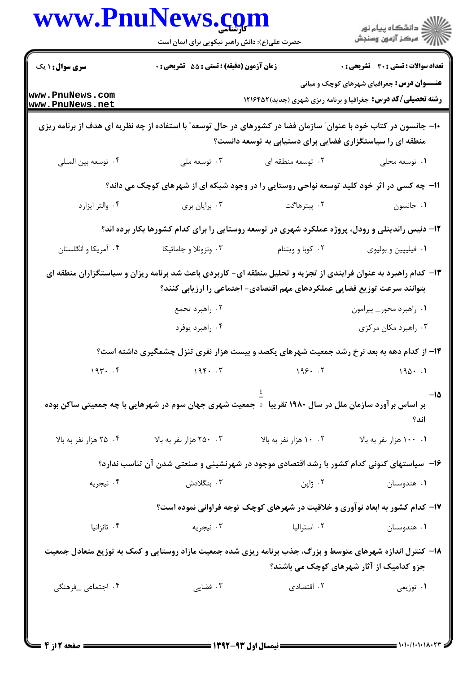|                                                                                                           | حضرت علی(ع): دانش راهبر نیکویی برای ایمان است |                                                                                                                                                                                             | ڪ دانشڪاه پيام نور<br>/> مرڪز آزمون وسنڊش                                                                                |
|-----------------------------------------------------------------------------------------------------------|-----------------------------------------------|---------------------------------------------------------------------------------------------------------------------------------------------------------------------------------------------|--------------------------------------------------------------------------------------------------------------------------|
| <b>سری سوال : ۱ یک</b>                                                                                    | زمان آزمون (دقیقه) : تستی : 55 آتشریحی : 0    |                                                                                                                                                                                             | تعداد سوالات : تستي : 30 ٪ تشريحي : 0                                                                                    |
| www.PnuNews.com<br>www.PnuNews.net                                                                        |                                               |                                                                                                                                                                                             | <b>عنـــوان درس:</b> جغرافیای شهرهای کوچک و میانی<br><b>رشته تحصیلی/کد درس:</b> جغرافیا و برنامه ریزی شهری (جدید)1۲۱۶۴۵۲ |
|                                                                                                           |                                               | ∙ا− جانسون در کتاب خود با عنوان″ سازمان فضا در کشورهای در حال توسعه″ با استفاده از چه نظریه ای هدف از برنامه ریزی<br>منطقه ای را سیاستگزاری فضایی برای دستیابی به توسعه دانست؟              |                                                                                                                          |
| ۰۴ توسعه بين المللي                                                                                       | ۰۳ توسعه ملی                                  | ۰۲ توسعه منطقه ای                                                                                                                                                                           | ۰۱ توسعه محلی                                                                                                            |
|                                                                                                           |                                               | 1۱- چه کسی در اثر خود کلید توسعه نواحی روستایی را در وجود شبکه ای از شهرهای کوچک می داند؟                                                                                                   |                                                                                                                          |
| ۰۴ والتر ایزارد                                                                                           | ۰۳ برایان بری                                 | ۰۲ پیترهاگت                                                                                                                                                                                 | ۰۱ جانسون                                                                                                                |
|                                                                                                           |                                               | ۱۲- دنیس راندینلی و رودل، پروژه عملکرد شهری در توسعه روستایی را برای کدام کشورها بکار برده اند؟                                                                                             |                                                                                                                          |
| ۰۴ آمریکا و انگلستان                                                                                      | ۰۳ ونزوئلا و جامائیکا                         | ۰۲ کوبا و ویتنام                                                                                                                                                                            | ۰۱ فیلیپین و بولیوی                                                                                                      |
|                                                                                                           |                                               | ۱۳– کدام راهبرد به عنوان فرایندی از تجزیه و تحلیل منطقه ای- کاربردی باعث شد برنامه ریزان و سیاستگزاران منطقه ای<br>بتوانند سرعت توزیع فضایی عملکردهای مهم اقتصادی- اجتماعی را ارزیابی کنند؟ |                                                                                                                          |
|                                                                                                           | ۰۲ راهبرد تجمع                                |                                                                                                                                                                                             | ٠١ راهبرد محور_ پيرامون                                                                                                  |
|                                                                                                           | ۰۴ راهبرد يوفرد                               |                                                                                                                                                                                             | ۰۳ راهبرد مکان مرکزی                                                                                                     |
|                                                                                                           |                                               | ۱۴- از کدام دهه به بعد نرخ رشد جمعیت شهرهای یکصد و بیست هزار نفری تنزل چشمگیری داشته است؟                                                                                                   |                                                                                                                          |
| 194. . f                                                                                                  | 199.7                                         | 199.7                                                                                                                                                                                       | $190 \cdot .1$                                                                                                           |
|                                                                                                           |                                               | بر اساس بر آورد سازمان ملل در سال ۱۹۸۰ تقریبا د جمعیت شهری جهان سوم در شهرهایی با چه جمعیتی ساکن بوده                                                                                       | -15<br>اند؟                                                                                                              |
| ۰۴ هزار نفر به بالا                                                                                       | ۰۳ مزار نفر به بالا                           | ۰۲ ۱۰ هزار نفر به بالا                                                                                                                                                                      | ۰۱ ۱۰۰ هزار نفر به بالا                                                                                                  |
|                                                                                                           |                                               | ۱۶– سیاستهای کنونی کدام کشور با رشد اقتصادی موجود در شهرنشینی و صنعتی شدن آن تناسب ندارد؟                                                                                                   |                                                                                                                          |
| ۰۴ نيجريه                                                                                                 | ۰۳ بنگلادش                                    | ۰۲ ژاپن                                                                                                                                                                                     | ۰۱ هندوستان                                                                                                              |
|                                                                                                           |                                               | ۱۷- کدام کشور به ابعاد نوآوری و خلاقیت در شهرهای کوچک توجه فراوانی نموده است؟                                                                                                               |                                                                                                                          |
| ۰۴ تانزانیا                                                                                               | ۰۳ نیجریه                                     | ۰۲ استرالیا                                                                                                                                                                                 | ۰۱ هندوستان                                                                                                              |
|                                                                                                           |                                               |                                                                                                                                                                                             |                                                                                                                          |
| ۱۸– کنترل اندازه شهرهای متوسط و بزرگ، جذب برنامه ریزی شده جمعیت مازاد روستایی و کمک به توزیع متعادل جمعیت |                                               |                                                                                                                                                                                             | جزو کدامیک از آثار شهرهای کوچک می باشند؟                                                                                 |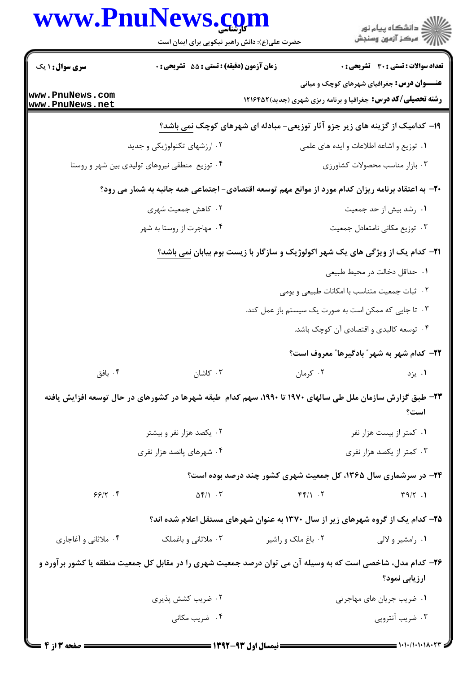|                                    | www.PnuNews.com<br>حضرت علی(ع): دانش راهبر نیکویی برای ایمان است                                           |                                                      | <br>   <br>   > مرکز آزمون وسنجش                                                                                         |
|------------------------------------|------------------------------------------------------------------------------------------------------------|------------------------------------------------------|--------------------------------------------------------------------------------------------------------------------------|
| <b>سری سوال : ۱ یک</b>             | زمان آزمون (دقیقه) : تستی : 55 تشریحی : 0                                                                  |                                                      | تعداد سوالات : تستى : 30 - تشريحي : 0                                                                                    |
| www.PnuNews.com<br>www.PnuNews.net |                                                                                                            |                                                      | <b>عنـــوان درس:</b> جغرافیای شهرهای کوچک و میانی<br><b>رشته تحصیلی/کد درس:</b> جغرافیا و برنامه ریزی شهری (جدید)1216451 |
|                                    |                                                                                                            |                                                      | ۱۹- کدامیک از گزینه های زیر جزو آثار توزیعی- مبادله ای شهرهای کوچک نمی باشد؟                                             |
|                                    | ۰۲ ارزشهای تکنولوژیکی و جدید                                                                               |                                                      | ۰۱ توزیع و اشاعه اطلاعات و ایده های علمی                                                                                 |
|                                    | ۰۴ توزیع منطقی نیروهای تولیدی بین شهر و روستا                                                              |                                                      | ۰۳ بازار مناسب محصولات كشاورزى                                                                                           |
|                                    | +۲- به اعتقاد برنامه ریزان کدام مورد از موانع مهم توسعه اقتصادی- اجتماعی همه جانبه به شمار می رود؟         |                                                      |                                                                                                                          |
|                                    | ۰۲ کاهش جمعیت شهری                                                                                         |                                                      | ۰۱ رشد بیش از حد جمعیت                                                                                                   |
|                                    | ۰۴ مهاجرت از روستا به شهر                                                                                  |                                                      | ۰۳ توزیع مکانی نامتعادل جمعیت                                                                                            |
|                                    |                                                                                                            |                                                      | <b>۲۱</b> - کدام یک از ویژگی های یک شهر اکولوژیک و سازگار با زیست بوم بیابان نمی باشد؟                                   |
|                                    |                                                                                                            |                                                      | ٠١. حداقل دخالت در محيط طبيعي                                                                                            |
|                                    |                                                                                                            |                                                      | ۰۲ ثبات جمعیت متناسب با امکانات طبیعی و بومی                                                                             |
|                                    |                                                                                                            | ۰۳ تا جایی که ممکن است به صورت یک سیستم باز عمل کند. |                                                                                                                          |
|                                    |                                                                                                            |                                                      | ۰۴ توسعه کالبدی و اقتصادی آن کوچک باشد.                                                                                  |
|                                    |                                                                                                            |                                                      | <b>۲۲</b> – کدام شهر به شهر ؒ بادگیرها ؒ معروف است؟                                                                      |
| ۰۴ بافق                            | ۰۳ کاشان                                                                                                   | ۰۲ کرمان                                             | ۰۱ يزد                                                                                                                   |
|                                    | ۲۳– طبق گزارش سازمان ملل طی سالهای ۱۹۷۰ تا ۱۹۹۰، سهم کدام  طبقه شهرها در کشورهای در حال توسعه افزایش یافته |                                                      | است؟                                                                                                                     |
|                                    | ۰۲ یکصد هزار نفر و بیشتر                                                                                   |                                                      | ۰۱ کمتر از بیست هزار نفر                                                                                                 |
|                                    | ۰۴ شهرهای پانصد هزار نفری                                                                                  |                                                      | ۰۳ کمتر از یکصد هزار نفری                                                                                                |
|                                    |                                                                                                            |                                                      | <b>۲۴- در سرشماری سال ۱۳۶۵، کل جمعیت شهری کشور چند درصد بوده است؟</b>                                                    |
| 99/7.7                             | $\Delta \mathbf{f}/\mathbf{1}$ . $\mathbf{r}$                                                              | $\uparrow\uparrow/\uparrow$ . $\uparrow$             | $\Gamma$ 9/7.1                                                                                                           |
|                                    | ۲۵- کدام یک از گروه شهرهای زیر از سال ۱۳۷۰ به عنوان شهرهای مستقل اعلام شده اند؟                            |                                                      |                                                                                                                          |
| ۰۴ ملاثانی و آغاجاری               | ۰۳ ملاثانی و باغملک                                                                                        | ۰۲ باغ ملک و راشیر                                   | ۰۱ رامشیر و لالی                                                                                                         |
|                                    | ۲۶– کدام مدل، شاخصی است که به وسیله آن می توان درصد جمعیت شهری را در مقابل کل جمعیت منطقه یا کشور برآورد و |                                                      | ارزیابی نمود؟                                                                                                            |
|                                    | ۰۲ ضریب کشش پذیری                                                                                          |                                                      | ۰۱ ضریب جریان های مهاجرتی                                                                                                |
|                                    | ۰۴ ضریب مکانی                                                                                              |                                                      | ۰۳ ضریب آنتروپی                                                                                                          |